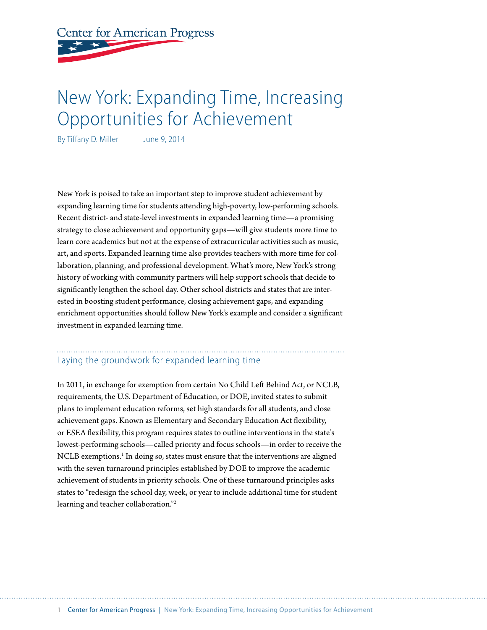**Center for American Progress** 

# New York: Expanding Time, Increasing Opportunities for Achievement

By Tiffany D. Miller June 9, 2014

New York is poised to take an important step to improve student achievement by expanding learning time for students attending high-poverty, low-performing schools. Recent district- and state-level investments in expanded learning time—a promising strategy to close achievement and opportunity gaps—will give students more time to learn core academics but not at the expense of extracurricular activities such as music, art, and sports. Expanded learning time also provides teachers with more time for collaboration, planning, and professional development. What's more, New York's strong history of working with community partners will help support schools that decide to significantly lengthen the school day. Other school districts and states that are interested in boosting student performance, closing achievement gaps, and expanding enrichment opportunities should follow New York's example and consider a significant investment in expanded learning time.

# Laying the groundwork for expanded learning time

In 2011, in exchange for exemption from certain No Child Left Behind Act, or NCLB, requirements, the U.S. Department of Education, or DOE, invited states to submit plans to implement education reforms, set high standards for all students, and close achievement gaps. Known as Elementary and Secondary Education Act flexibility, or ESEA flexibility, this program requires states to outline interventions in the state's lowest-performing schools—called priority and focus schools—in order to receive the NCLB exemptions.<sup>1</sup> In doing so, states must ensure that the interventions are aligned with the seven turnaround principles established by DOE to improve the academic achievement of students in priority schools. One of these turnaround principles asks states to "redesign the school day, week, or year to include additional time for student learning and teacher collaboration."2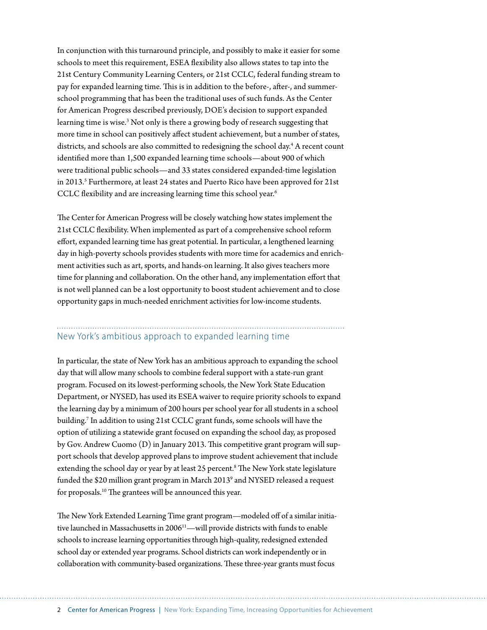In conjunction with this turnaround principle, and possibly to make it easier for some schools to meet this requirement, ESEA flexibility also allows states to tap into the 21st Century Community Learning Centers, or 21st CCLC, federal funding stream to pay for expanded learning time. This is in addition to the before-, after-, and summerschool programming that has been the traditional uses of such funds. As the Center for American Progress described previously, DOE's decision to support expanded learning time is wise.<sup>3</sup> Not only is there a growing body of research suggesting that more time in school can positively affect student achievement, but a number of states, districts, and schools are also committed to redesigning the school day.<sup>4</sup> A recent count identified more than 1,500 expanded learning time schools—about 900 of which were traditional public schools—and 33 states considered expanded-time legislation in 2013.<sup>5</sup> Furthermore, at least 24 states and Puerto Rico have been approved for 21st CCLC flexibility and are increasing learning time this school year.<sup>6</sup>

The Center for American Progress will be closely watching how states implement the 21st CCLC flexibility. When implemented as part of a comprehensive school reform effort, expanded learning time has great potential. In particular, a lengthened learning day in high-poverty schools provides students with more time for academics and enrichment activities such as art, sports, and hands-on learning. It also gives teachers more time for planning and collaboration. On the other hand, any implementation effort that is not well planned can be a lost opportunity to boost student achievement and to close opportunity gaps in much-needed enrichment activities for low-income students.

# New York's ambitious approach to expanded learning time

In particular, the state of New York has an ambitious approach to expanding the school day that will allow many schools to combine federal support with a state-run grant program. Focused on its lowest-performing schools, the New York State Education Department, or NYSED, has used its ESEA waiver to require priority schools to expand the learning day by a minimum of 200 hours per school year for all students in a school building.7 In addition to using 21st CCLC grant funds, some schools will have the option of utilizing a statewide grant focused on expanding the school day, as proposed by Gov. Andrew Cuomo (D) in January 2013. This competitive grant program will support schools that develop approved plans to improve student achievement that include extending the school day or year by at least 25 percent.<sup>8</sup> The New York state legislature funded the \$20 million grant program in March 2013<sup>9</sup> and NYSED released a request for proposals. 10 The grantees will be announced this year.

The New York Extended Learning Time grant program—modeled off of a similar initiative launched in Massachusetts in 2006<sup>11</sup>—will provide districts with funds to enable schools to increase learning opportunities through high-quality, redesigned extended school day or extended year programs. School districts can work independently or in collaboration with community-based organizations. These three-year grants must focus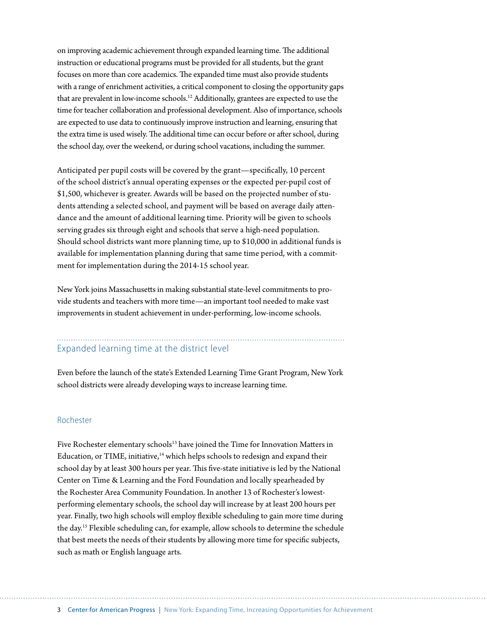on improving academic achievement through expanded learning time. The additional instruction or educational programs must be provided for all students, but the grant focuses on more than core academics. The expanded time must also provide students with a range of enrichment activities, a critical component to closing the opportunity gaps that are prevalent in low-income schools.12 Additionally, grantees are expected to use the time for teacher collaboration and professional development. Also of importance, schools are expected to use data to continuously improve instruction and learning, ensuring that the extra time is used wisely. The additional time can occur before or after school, during the school day, over the weekend, or during school vacations, including the summer.

Anticipated per pupil costs will be covered by the grant—specifically, 10 percent of the school district's annual operating expenses or the expected per-pupil cost of \$1,500, whichever is greater. Awards will be based on the projected number of students attending a selected school, and payment will be based on average daily attendance and the amount of additional learning time. Priority will be given to schools serving grades six through eight and schools that serve a high-need population. Should school districts want more planning time, up to \$10,000 in additional funds is available for implementation planning during that same time period, with a commitment for implementation during the 2014-15 school year.

New York joins Massachusetts in making substantial state-level commitments to provide students and teachers with more time—an important tool needed to make vast improvements in student achievement in under-performing, low-income schools.

# Expanded learning time at the district level

Even before the launch of the state's Extended Learning Time Grant Program, New York school districts were already developing ways to increase learning time.

# Rochester

Five Rochester elementary schools<sup>13</sup> have joined the Time for Innovation Matters in Education, or TIME, initiative, $14$  which helps schools to redesign and expand their school day by at least 300 hours per year. This five-state initiative is led by the National Center on Time & Learning and the Ford Foundation and locally spearheaded by the Rochester Area Community Foundation. In another 13 of Rochester's lowestperforming elementary schools, the school day will increase by at least 200 hours per year. Finally, two high schools will employ flexible scheduling to gain more time during the day.15 Flexible scheduling can, for example, allow schools to determine the schedule that best meets the needs of their students by allowing more time for specific subjects, such as math or English language arts.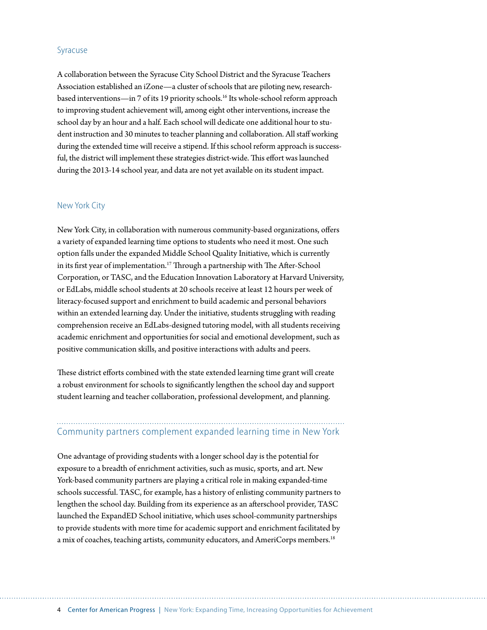#### Syracuse

A collaboration between the Syracuse City School District and the Syracuse Teachers Association established an iZone—a cluster of schools that are piloting new, researchbased interventions—in 7 of its 19 priority schools.16 Its whole-school reform approach to improving student achievement will, among eight other interventions, increase the school day by an hour and a half. Each school will dedicate one additional hour to student instruction and 30 minutes to teacher planning and collaboration. All staff working during the extended time will receive a stipend. If this school reform approach is successful, the district will implement these strategies district-wide. This effort was launched during the 2013-14 school year, and data are not yet available on its student impact.

#### New York City

New York City, in collaboration with numerous community-based organizations, offers a variety of expanded learning time options to students who need it most. One such option falls under the expanded Middle School Quality Initiative, which is currently in its first year of implementation.<sup>17</sup> Through a partnership with The After-School Corporation, or TASC, and the Education Innovation Laboratory at Harvard University, or EdLabs, middle school students at 20 schools receive at least 12 hours per week of literacy-focused support and enrichment to build academic and personal behaviors within an extended learning day. Under the initiative, students struggling with reading comprehension receive an EdLabs-designed tutoring model, with all students receiving academic enrichment and opportunities for social and emotional development, such as positive communication skills, and positive interactions with adults and peers.

These district efforts combined with the state extended learning time grant will create a robust environment for schools to significantly lengthen the school day and support student learning and teacher collaboration, professional development, and planning.

# Community partners complement expanded learning time in New York

One advantage of providing students with a longer school day is the potential for exposure to a breadth of enrichment activities, such as music, sports, and art. New York-based community partners are playing a critical role in making expanded-time schools successful. TASC, for example, has a history of enlisting community partners to lengthen the school day. Building from its experience as an afterschool provider, TASC launched the ExpandED School initiative, which uses school-community partnerships to provide students with more time for academic support and enrichment facilitated by a mix of coaches, teaching artists, community educators, and AmeriCorps members.18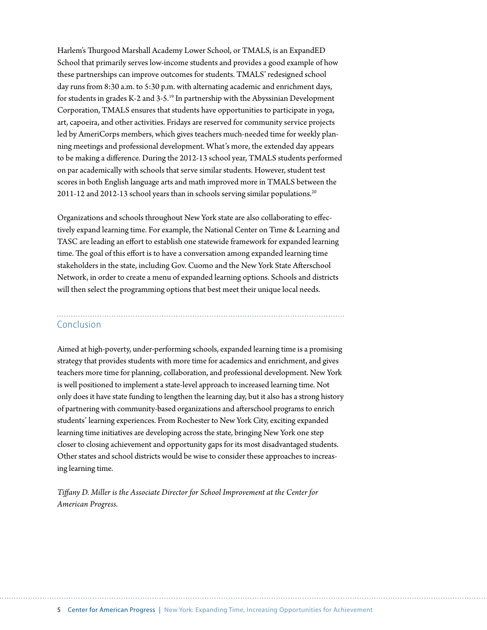Harlem's Thurgood Marshall Academy Lower School, or TMALS, is an ExpandED School that primarily serves low-income students and provides a good example of how these partnerships can improve outcomes for students. TMALS' redesigned school day runs from 8:30 a.m. to 5:30 p.m. with alternating academic and enrichment days, for students in grades K-2 and 3-5.19 In partnership with the Abyssinian Development Corporation, TMALS ensures that students have opportunities to participate in yoga, art, capoeira, and other activities. Fridays are reserved for community service projects led by AmeriCorps members, which gives teachers much-needed time for weekly planning meetings and professional development. What's more, the extended day appears to be making a difference. During the 2012-13 school year, TMALS students performed on par academically with schools that serve similar students. However, student test scores in both English language arts and math improved more in TMALS between the 2011-12 and 2012-13 school years than in schools serving similar populations.<sup>20</sup>

Organizations and schools throughout New York state are also collaborating to effectively expand learning time. For example, the National Center on Time & Learning and TASC are leading an effort to establish one statewide framework for expanded learning time. The goal of this effort is to have a conversation among expanded learning time stakeholders in the state, including Gov. Cuomo and the New York State Afterschool Network, in order to create a menu of expanded learning options. Schools and districts will then select the programming options that best meet their unique local needs.

# Conclusion

Aimed at high-poverty, under-performing schools, expanded learning time is a promising strategy that provides students with more time for academics and enrichment, and gives teachers more time for planning, collaboration, and professional development. New York is well positioned to implement a state-level approach to increased learning time. Not only does it have state funding to lengthen the learning day, but it also has a strong history of partnering with community-based organizations and afterschool programs to enrich students' learning experiences. From Rochester to New York City, exciting expanded learning time initiatives are developing across the state, bringing New York one step closer to closing achievement and opportunity gaps for its most disadvantaged students. Other states and school districts would be wise to consider these approaches to increasing learning time.

*Tiffany D. Miller is the Associate Director for School Improvement at the Center for American Progress.*